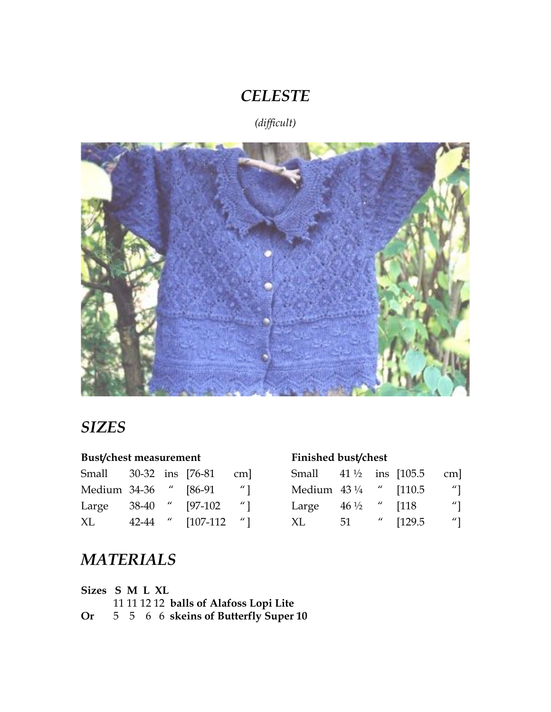# *CELESTE*

*(difficult)*



# *SIZES*

## **Bust/chest measurement**

| Small        |       |       | 30-32 ins [76-81] | $cm$ ]              |
|--------------|-------|-------|-------------------|---------------------|
| Medium 34-36 |       |       | $[86-91]$         | $^{\prime\prime}$ ] |
| Large        | 38-40 | $\mu$ | $[97-102]$        | $^{\prime\prime}$ ] |
| ХL           | 42-44 | $\mu$ | $[107-112]$       | $^{\prime\prime}$ ] |

| Small                  |                 |       | 41 $\frac{1}{2}$ ins [105.5] | $cm$ ]              |
|------------------------|-----------------|-------|------------------------------|---------------------|
| Medium $43\frac{1}{4}$ |                 |       | $^{\prime\prime}$ [110.5]    | $^{\prime\prime}$ ] |
| Large                  | $46\frac{1}{2}$ |       | [118]                        | $^{\prime\prime}$ ] |
| XL                     | 51              | $\mu$ | [129.5]                      | $^{\prime\prime}$ ] |

# *MATERIALS*

| Sizes S M L XL |  |  |                                        |
|----------------|--|--|----------------------------------------|
|                |  |  | 11 11 12 12 balls of Alafoss Lopi Lite |
| Or             |  |  | 5 5 6 6 skeins of Butterfly Super 10   |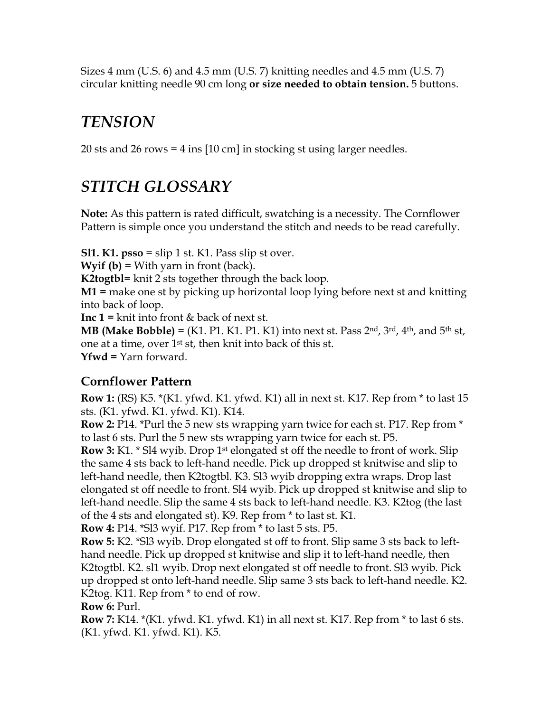Sizes 4 mm (U.S. 6) and 4.5 mm (U.S. 7) knitting needles and 4.5 mm (U.S. 7) circular knitting needle 90 cm long **or size needed to obtain tension.** 5 buttons.

# *TENSION*

20 sts and 26 rows = 4 ins [10 cm] in stocking st using larger needles.

# *STITCH GLOSSARY*

**Note:** As this pattern is rated difficult, swatching is a necessity. The Cornflower Pattern is simple once you understand the stitch and needs to be read carefully.

**Sl1. K1. psso** = slip 1 st. K1. Pass slip st over. **Wyif (b)** = With yarn in front (back). **K2togtbl=** knit 2 sts together through the back loop. **M1 =** make one st by picking up horizontal loop lying before next st and knitting into back of loop. **Inc 1 =** knit into front & back of next st. **MB (Make Bobble)** = (K1. P1. K1. P1. K1) into next st. Pass 2<sup>nd</sup>, 3<sup>rd</sup>, 4<sup>th</sup>, and 5<sup>th</sup> st, one at a time, over 1st st, then knit into back of this st.

**Yfwd =** Yarn forward.

## **Cornflower Pattern**

**Row 1:** (RS) K5. \*(K1. yfwd. K1. yfwd. K1) all in next st. K17. Rep from \* to last 15 sts. (K1. yfwd. K1. yfwd. K1). K14.

**Row 2:** P14. \*Purl the 5 new sts wrapping yarn twice for each st. P17. Rep from \* to last 6 sts. Purl the 5 new sts wrapping yarn twice for each st. P5.

**Row 3:** K1. \* Sl4 wyib. Drop 1<sup>st</sup> elongated st off the needle to front of work. Slip the same 4 sts back to left-hand needle. Pick up dropped st knitwise and slip to left-hand needle, then K2togtbl. K3. Sl3 wyib dropping extra wraps. Drop last elongated st off needle to front. Sl4 wyib. Pick up dropped st knitwise and slip to left-hand needle. Slip the same 4 sts back to left-hand needle. K3. K2tog (the last of the 4 sts and elongated st). K9. Rep from \* to last st. K1.

**Row 4:** P14. \*Sl3 wyif. P17. Rep from \* to last 5 sts. P5.

**Row 5:** K2. \*Sl3 wyib. Drop elongated st off to front. Slip same 3 sts back to lefthand needle. Pick up dropped st knitwise and slip it to left-hand needle, then K2togtbl. K2. sl1 wyib. Drop next elongated st off needle to front. Sl3 wyib. Pick up dropped st onto left-hand needle. Slip same 3 sts back to left-hand needle. K2. K2tog. K11. Rep from \* to end of row.

**Row 6:** Purl.

**Row 7:** K14. \*(K1. yfwd. K1. yfwd. K1) in all next st. K17. Rep from \* to last 6 sts. (K1. yfwd. K1. yfwd. K1). K5.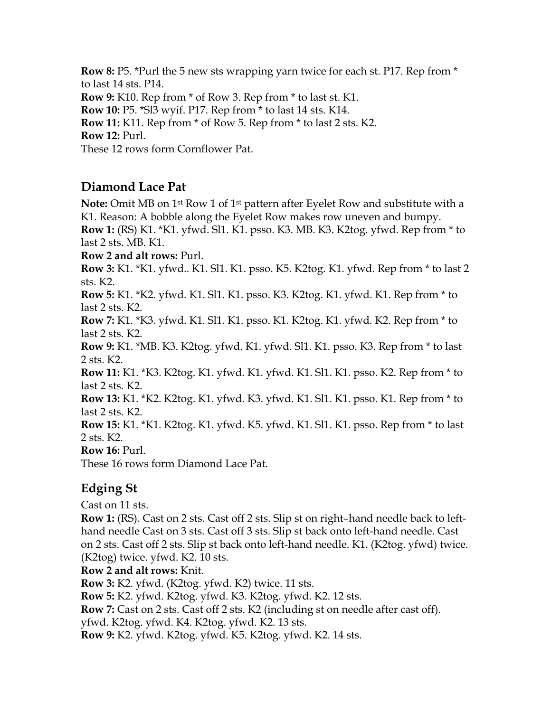**Row 8:** P5. \*Purl the 5 new sts wrapping yarn twice for each st. P17. Rep from \* to last 14 sts. P14. **Row 9:** K10. Rep from \* of Row 3. Rep from \* to last st. K1. **Row 10:** P5. \*Sl3 wyif. P17. Rep from \* to last 14 sts. K14. **Row 11:** K11. Rep from \* of Row 5. Rep from \* to last 2 sts. K2. **Row 12:** Purl. These 12 rows form Cornflower Pat.

## **Diamond Lace Pat**

**Note:** Omit MB on 1st Row 1 of 1st pattern after Eyelet Row and substitute with a K1. Reason: A bobble along the Eyelet Row makes row uneven and bumpy. **Row 1:** (RS) K1. \*K1. yfwd. Sl1. K1. psso. K3. MB. K3. K2tog. yfwd. Rep from \* to last 2 sts. MB. K1. **Row 2 and alt rows:** Purl. **Row 3:** K1. \*K1. yfwd.. K1. Sl1. K1. psso. K5. K2tog. K1. yfwd. Rep from \* to last 2 sts. K2. **Row 5:** K1. \*K2. yfwd. K1. Sl1. K1. psso. K3. K2tog. K1. yfwd. K1. Rep from \* to last 2 sts. K2. **Row 7:** K1. \*K3. yfwd. K1. Sl1. K1. psso. K1. K2tog. K1. yfwd. K2. Rep from \* to last 2 sts. K2. **Row 9:** K1. \*MB. K3. K2tog. yfwd. K1. yfwd. Sl1. K1. psso. K3. Rep from \* to last 2 sts. K2. **Row 11:** K1. \*K3. K2tog. K1. yfwd. K1. yfwd. K1. Sl1. K1. psso. K2. Rep from \* to last 2 sts. K2. **Row 13:** K1. \*K2. K2tog. K1. yfwd. K3. yfwd. K1. Sl1. K1. psso. K1. Rep from \* to last 2 sts. K2. **Row 15:** K1. \*K1. K2tog. K1. yfwd. K5. yfwd. K1. Sl1. K1. psso. Rep from \* to last 2 sts. K2. **Row 16:** Purl. These 16 rows form Diamond Lace Pat. **Edging St** Cast on 11 sts. **Row 1:** (RS). Cast on 2 sts. Cast off 2 sts. Slip st on right–hand needle back to lefthand needle Cast on 3 sts. Cast off 3 sts. Slip st back onto left-hand needle. Cast on 2 sts. Cast off 2 sts. Slip st back onto left-hand needle. K1. (K2tog. yfwd) twice. (K2tog) twice. yfwd. K2. 10 sts.

### **Row 2 and alt rows:** Knit.

**Row 3:** K2. yfwd. (K2tog. yfwd. K2) twice. 11 sts.

**Row 5:** K2. yfwd. K2tog. yfwd. K3. K2tog. yfwd. K2. 12 sts.

**Row 7:** Cast on 2 sts. Cast off 2 sts. K2 (including st on needle after cast off).

yfwd. K2tog. yfwd. K4. K2tog. yfwd. K2. 13 sts.

**Row 9:** K2. yfwd. K2tog. yfwd. K5. K2tog. yfwd. K2. 14 sts.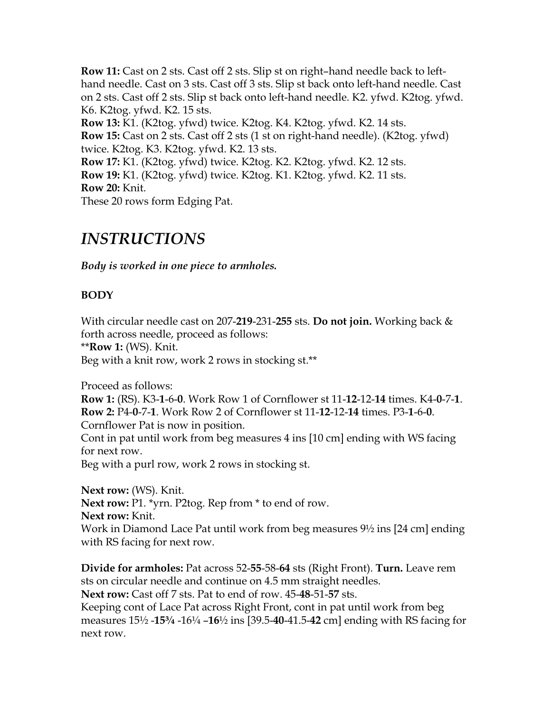**Row 11:** Cast on 2 sts. Cast off 2 sts. Slip st on right–hand needle back to lefthand needle. Cast on 3 sts. Cast off 3 sts. Slip st back onto left-hand needle. Cast on 2 sts. Cast off 2 sts. Slip st back onto left-hand needle. K2. yfwd. K2tog. yfwd. K6. K2tog. yfwd. K2. 15 sts. **Row 13:** K1. (K2tog. yfwd) twice. K2tog. K4. K2tog. yfwd. K2. 14 sts. **Row 15:** Cast on 2 sts. Cast off 2 sts (1 st on right-hand needle). (K2tog. yfwd) twice. K2tog. K3. K2tog. yfwd. K2. 13 sts. **Row 17:** K1. (K2tog. yfwd) twice. K2tog. K2. K2tog. yfwd. K2. 12 sts. **Row 19:** K1. (K2tog. yfwd) twice. K2tog. K1. K2tog. yfwd. K2. 11 sts. **Row 20:** Knit.

These 20 rows form Edging Pat.

## *INSTRUCTIONS*

*Body is worked in one piece to armholes.*

### **BODY**

With circular needle cast on 207-**219**-231-**255** sts. **Do not join.** Working back & forth across needle, proceed as follows: \*\***Row 1:** (WS). Knit. Beg with a knit row, work 2 rows in stocking st.\*\*

Proceed as follows:

**Row 1:** (RS). K3-**1**-6-**0**. Work Row 1 of Cornflower st 11-**12**-12-**14** times. K4-**0**-7-**1**. **Row 2:** P4-**0**-7-**1**. Work Row 2 of Cornflower st 11-**12**-12-**14** times. P3-**1**-6-**0**. Cornflower Pat is now in position.

Cont in pat until work from beg measures 4 ins [10 cm] ending with WS facing for next row.

Beg with a purl row, work 2 rows in stocking st.

**Next row:** (WS). Knit. **Next row:** P1. \*yrn. P2tog. Rep from \* to end of row. **Next row:** Knit. Work in Diamond Lace Pat until work from beg measures 9½ ins [24 cm] ending with RS facing for next row.

**Divide for armholes:** Pat across 52-**55**-58-**64** sts (Right Front). **Turn.** Leave rem sts on circular needle and continue on 4.5 mm straight needles. **Next row:** Cast off 7 sts. Pat to end of row. 45-**48**-51-**57** sts.

Keeping cont of Lace Pat across Right Front, cont in pat until work from beg measures 15½ -**15¾** -16¼ –**16**½ ins [39.5-**40**-41.5-**42** cm] ending with RS facing for next row.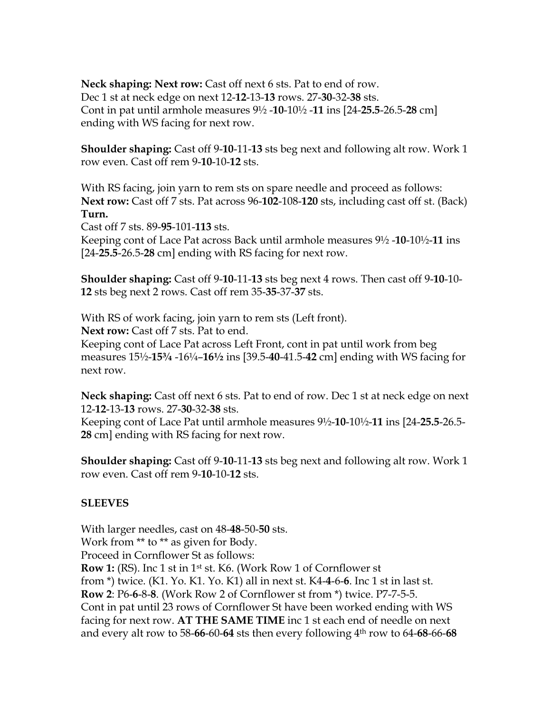**Neck shaping: Next row:** Cast off next 6 sts. Pat to end of row. Dec 1 st at neck edge on next 12-**12**-13-**13** rows. 27-**30**-32-**38** sts. Cont in pat until armhole measures 9½ -**10**-10½ -**11** ins [24-**25.5**-26.5-**28** cm] ending with WS facing for next row.

**Shoulder shaping:** Cast off 9-**10**-11-**13** sts beg next and following alt row. Work 1 row even. Cast off rem 9-**10**-10-**12** sts.

With RS facing, join yarn to rem sts on spare needle and proceed as follows: **Next row:** Cast off 7 sts. Pat across 96-**102**-108-**120** sts, including cast off st. (Back) **Turn.** 

Cast off 7 sts. 89-**95**-101-**113** sts.

Keeping cont of Lace Pat across Back until armhole measures 9½ -**10**-10½-**11** ins [24-**25.5**-26.5-**28** cm] ending with RS facing for next row.

**Shoulder shaping:** Cast off 9-**10**-11-**13** sts beg next 4 rows. Then cast off 9-**10**-10- **12** sts beg next 2 rows. Cast off rem 35-**35**-37-**37** sts.

With RS of work facing, join yarn to rem sts (Left front).

Next row: Cast off 7 sts. Pat to end.

Keeping cont of Lace Pat across Left Front, cont in pat until work from beg measures 15½-**15¾** -16¼–**16½** ins [39.5-**40**-41.5-**42** cm] ending with WS facing for next row.

**Neck shaping:** Cast off next 6 sts. Pat to end of row. Dec 1 st at neck edge on next 12-**12**-13-**13** rows. 27-**30**-32-**38** sts.

Keeping cont of Lace Pat until armhole measures 9½-**10**-10½-**11** ins [24-**25.5**-26.5- **28** cm] ending with RS facing for next row.

**Shoulder shaping:** Cast off 9-**10**-11-**13** sts beg next and following alt row. Work 1 row even. Cast off rem 9-**10**-10-**12** sts.

### **SLEEVES**

With larger needles, cast on 48-**48**-50-**50** sts. Work from \*\* to \*\* as given for Body. Proceed in Cornflower St as follows: **Row 1:** (RS). Inc 1 st in 1st st. K6. (Work Row 1 of Cornflower st from \*) twice. (K1. Yo. K1. Yo. K1) all in next st. K4-**4**-6-**6**. Inc 1 st in last st. **Row 2**: P6-**6**-8-**8**. (Work Row 2 of Cornflower st from \*) twice. P7-7-5-5. Cont in pat until 23 rows of Cornflower St have been worked ending with WS facing for next row. **AT THE SAME TIME** inc 1 st each end of needle on next and every alt row to 58-**66**-60-**64** sts then every following 4th row to 64-**68**-66-**68**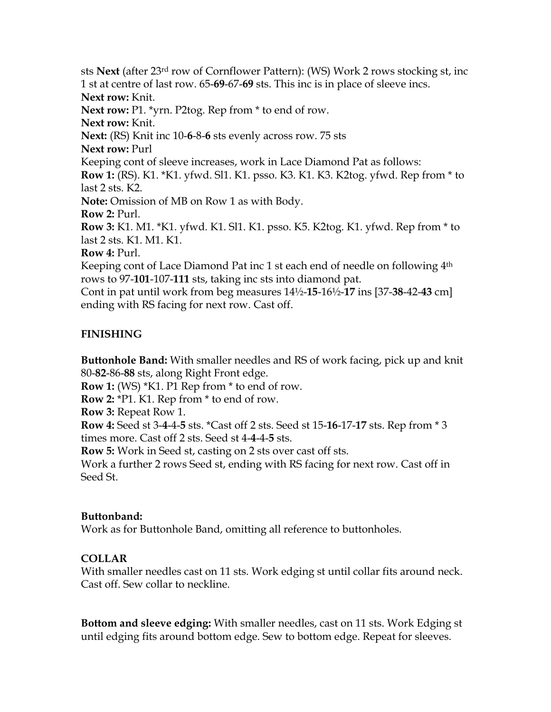sts **Next** (after 23rd row of Cornflower Pattern): (WS) Work 2 rows stocking st, inc 1 st at centre of last row. 65-**69**-67-**69** sts. This inc is in place of sleeve incs. **Next row:** Knit. **Next row:** P1. \*yrn. P2tog. Rep from \* to end of row. **Next row:** Knit. **Next:** (RS) Knit inc 10-**6**-8-**6** sts evenly across row. 75 sts **Next row:** Purl Keeping cont of sleeve increases, work in Lace Diamond Pat as follows: **Row 1:** (RS). K1. \*K1. yfwd. Sl1. K1. psso. K3. K1. K3. K2tog. yfwd. Rep from \* to last 2 sts. K2. **Note:** Omission of MB on Row 1 as with Body. **Row 2:** Purl. **Row 3:** K1. M1. \*K1. yfwd. K1. Sl1. K1. psso. K5. K2tog. K1. yfwd. Rep from \* to last 2 sts. K1. M1. K1. **Row 4:** Purl. Keeping cont of Lace Diamond Pat inc 1 st each end of needle on following 4<sup>th</sup> rows to 97-**101**-107-**111** sts, taking inc sts into diamond pat.

Cont in pat until work from beg measures 14½-**15**-16½-**17** ins [37-**38**-42-**43** cm] ending with RS facing for next row. Cast off.

### **FINISHING**

**Buttonhole Band:** With smaller needles and RS of work facing, pick up and knit 80-**82**-86-**88** sts, along Right Front edge.

**Row 1:** (WS) \*K1. P1 Rep from \* to end of row.

**Row 2:** \*P1. K1. Rep from \* to end of row.

**Row 3:** Repeat Row 1.

**Row 4:** Seed st 3-**4**-4-**5** sts. \*Cast off 2 sts. Seed st 15-**16**-17-**17** sts. Rep from \* 3 times more. Cast off 2 sts. Seed st 4-**4**-4-**5** sts.

**Row 5:** Work in Seed st, casting on 2 sts over cast off sts.

Work a further 2 rows Seed st, ending with RS facing for next row. Cast off in Seed St.

### **Buttonband:**

Work as for Buttonhole Band, omitting all reference to buttonholes.

### **COLLAR**

With smaller needles cast on 11 sts. Work edging st until collar fits around neck. Cast off. Sew collar to neckline.

**Bottom and sleeve edging:** With smaller needles, cast on 11 sts. Work Edging st until edging fits around bottom edge. Sew to bottom edge. Repeat for sleeves.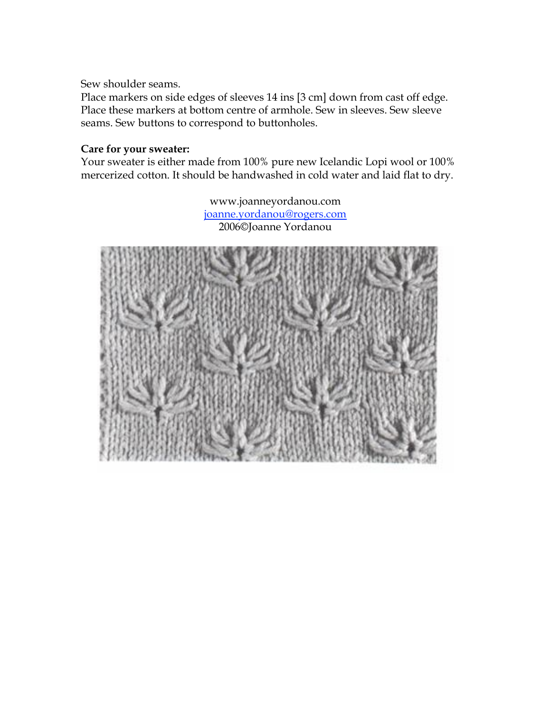Sew shoulder seams.

Place markers on side edges of sleeves 14 ins [3 cm] down from cast off edge. Place these markers at bottom centre of armhole. Sew in sleeves. Sew sleeve seams. Sew buttons to correspond to buttonholes.

### **Care for your sweater:**

Your sweater is either made from 100% pure new Icelandic Lopi wool or 100% mercerized cotton. It should be handwashed in cold water and laid flat to dry.

> www.joanneyordanou.com joanne.yordanou@rogers.com 2006©Joanne Yordanou